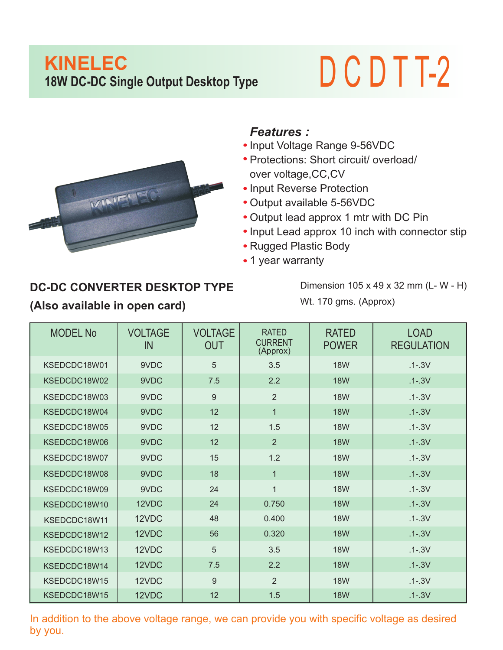## **KINELEC 18W DC-DC Single Output Desktop Type** D C D T T-2



## *Features :*

- Input Voltage Range 9-56VDC
- Protections: Short circuit/ overload/ over voltage,CC,CV
- Input Reverse Protection
- Output available 5-56VDC
- Output lead approx 1 mtr with DC Pin
- Input Lead approx 10 inch with connector stip
- Rugged Plastic Body
- 1 year warranty

## **DC-DC CONVERTER DESKTOP TYPE (Also available in open card)**

Dimension 105 x 49 x 32 mm (L- W - H) Wt. 170 gms. (Approx)

| <b>MODEL No</b> | <b>VOLTAGE</b><br>IN | <b>VOLTAGE</b><br><b>OUT</b> | <b>RATED</b><br><b>CURRENT</b><br>(Approx) | <b>RATED</b><br><b>POWER</b> | <b>LOAD</b><br><b>REGULATION</b> |
|-----------------|----------------------|------------------------------|--------------------------------------------|------------------------------|----------------------------------|
| KSEDCDC18W01    | 9VDC                 | 5                            | 3.5                                        | <b>18W</b>                   | $.1 - .3V$                       |
| KSEDCDC18W02    | 9VDC                 | 7.5                          | 2.2                                        | <b>18W</b>                   | $.1 - .3V$                       |
| KSEDCDC18W03    | 9VDC                 | 9                            | $\overline{2}$                             | <b>18W</b>                   | $.1 - .3V$                       |
| KSEDCDC18W04    | 9VDC                 | 12                           | $\mathbf 1$                                | <b>18W</b>                   | $.1 - .3V$                       |
| KSEDCDC18W05    | 9VDC                 | 12                           | 1.5                                        | <b>18W</b>                   | $.1 - .3V$                       |
| KSEDCDC18W06    | 9VDC                 | 12                           | 2                                          | <b>18W</b>                   | $.1 - .3V$                       |
| KSEDCDC18W07    | 9VDC                 | 15                           | 1.2                                        | <b>18W</b>                   | $.1 - .3V$                       |
| KSEDCDC18W08    | 9VDC                 | 18                           | $\mathbf{1}$                               | <b>18W</b>                   | $.1 - .3V$                       |
| KSEDCDC18W09    | 9VDC                 | 24                           | $\overline{1}$                             | <b>18W</b>                   | $.1 - .3V$                       |
| KSEDCDC18W10    | 12VDC                | 24                           | 0.750                                      | <b>18W</b>                   | $.1 - .3V$                       |
| KSEDCDC18W11    | 12VDC                | 48                           | 0.400                                      | <b>18W</b>                   | $.1 - .3V$                       |
| KSEDCDC18W12    | 12VDC                | 56                           | 0.320                                      | <b>18W</b>                   | $.1 - .3V$                       |
| KSEDCDC18W13    | 12VDC                | 5                            | 3.5                                        | <b>18W</b>                   | $.1 - .3V$                       |
| KSEDCDC18W14    | 12VDC                | 7.5                          | 2.2                                        | <b>18W</b>                   | $.1 - .3V$                       |
| KSEDCDC18W15    | 12VDC                | 9                            | $\overline{2}$                             | <b>18W</b>                   | $.1 - .3V$                       |
| KSEDCDC18W15    | 12VDC                | 12                           | 1.5                                        | <b>18W</b>                   | $.1 - .3V$                       |

In addition to the above voltage range, we can provide you with specific voltage as desired by you.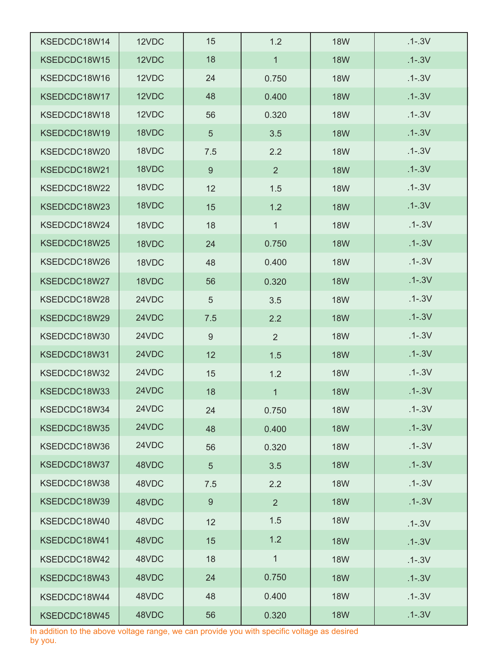| KSEDCDC18W14 | 12VDC | 15  | 1.2            | <b>18W</b> | $.1 - .3V$ |
|--------------|-------|-----|----------------|------------|------------|
| KSEDCDC18W15 | 12VDC | 18  | $\mathbf{1}$   | <b>18W</b> | $.1 - .3V$ |
| KSEDCDC18W16 | 12VDC | 24  | 0.750          | <b>18W</b> | $.1 - .3V$ |
| KSEDCDC18W17 | 12VDC | 48  | 0.400          | <b>18W</b> | $.1 - .3V$ |
| KSEDCDC18W18 | 12VDC | 56  | 0.320          | <b>18W</b> | $.1 - .3V$ |
| KSEDCDC18W19 | 18VDC | 5   | 3.5            | <b>18W</b> | $.1 - .3V$ |
| KSEDCDC18W20 | 18VDC | 7.5 | 2.2            | <b>18W</b> | $.1 - .3V$ |
| KSEDCDC18W21 | 18VDC | 9   | 2              | <b>18W</b> | $.1 - .3V$ |
| KSEDCDC18W22 | 18VDC | 12  | 1.5            | <b>18W</b> | $.1 - .3V$ |
| KSEDCDC18W23 | 18VDC | 15  | 1.2            | <b>18W</b> | $.1 - .3V$ |
| KSEDCDC18W24 | 18VDC | 18  | $\mathbf{1}$   | <b>18W</b> | $.1 - .3V$ |
| KSEDCDC18W25 | 18VDC | 24  | 0.750          | <b>18W</b> | $.1 - .3V$ |
| KSEDCDC18W26 | 18VDC | 48  | 0.400          | <b>18W</b> | $.1 - .3V$ |
| KSEDCDC18W27 | 18VDC | 56  | 0.320          | <b>18W</b> | $.1 - .3V$ |
| KSEDCDC18W28 | 24VDC | 5   | 3.5            | <b>18W</b> | $.1 - .3V$ |
| KSEDCDC18W29 | 24VDC | 7.5 | 2.2            | <b>18W</b> | $.1 - .3V$ |
| KSEDCDC18W30 | 24VDC | 9   | $\overline{2}$ | <b>18W</b> | $.1 - .3V$ |
| KSEDCDC18W31 | 24VDC | 12  | 1.5            | <b>18W</b> | $.1 - .3V$ |
| KSEDCDC18W32 | 24VDC | 15  | 1.2            | <b>18W</b> | $.1 - .3V$ |
| KSEDCDC18W33 | 24VDC | 18  | 1              | <b>18W</b> | $.1 - .3V$ |
| KSEDCDC18W34 | 24VDC | 24  | 0.750          | <b>18W</b> | $.1 - .3V$ |
| KSEDCDC18W35 | 24VDC | 48  | 0.400          | <b>18W</b> | $.1 - .3V$ |
| KSEDCDC18W36 | 24VDC | 56  | 0.320          | <b>18W</b> | $.1 - .3V$ |
| KSEDCDC18W37 | 48VDC | 5   | 3.5            | <b>18W</b> | $.1 - .3V$ |
| KSEDCDC18W38 | 48VDC | 7.5 | 2.2            | <b>18W</b> | $.1 - .3V$ |
| KSEDCDC18W39 | 48VDC | 9   | 2 <sup>1</sup> | <b>18W</b> | $.1 - .3V$ |
| KSEDCDC18W40 | 48VDC | 12  | 1.5            | <b>18W</b> | $.1 - .3V$ |
| KSEDCDC18W41 | 48VDC | 15  | 1.2            | <b>18W</b> | $.1 - .3V$ |
| KSEDCDC18W42 | 48VDC | 18  | $\mathbf 1$    | <b>18W</b> | $.1 - .3V$ |
| KSEDCDC18W43 | 48VDC | 24  | 0.750          | <b>18W</b> | $.1 - .3V$ |
| KSEDCDC18W44 | 48VDC | 48  | 0.400          | <b>18W</b> | $.1 - .3V$ |
| KSEDCDC18W45 | 48VDC | 56  | 0.320          | <b>18W</b> | $.1 - .3V$ |

In addition to the above voltage range, we can provide you with specific voltage as desired by you.